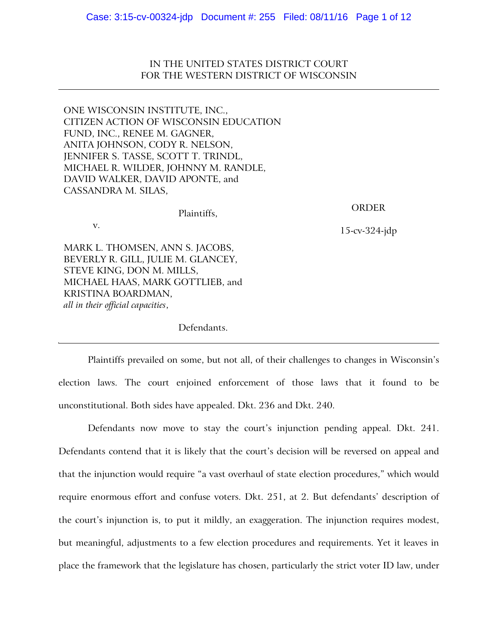IN THE UNITED STATES DISTRICT COURT FOR THE WESTERN DISTRICT OF WISCONSIN

ONE WISCONSIN INSTITUTE, INC., CITIZEN ACTION OF WISCONSIN EDUCATION FUND, INC., RENEE M. GAGNER, ANITA JOHNSON, CODY R. NELSON, JENNIFER S. TASSE, SCOTT T. TRINDL, MICHAEL R. WILDER, JOHNNY M. RANDLE, DAVID WALKER, DAVID APONTE, and CASSANDRA M. SILAS,

v.

## ORDER

15-cv-324-jdp

MARK L. THOMSEN, ANN S. JACOBS, BEVERLY R. GILL, JULIE M. GLANCEY, STEVE KING, DON M. MILLS, MICHAEL HAAS, MARK GOTTLIEB, and KRISTINA BOARDMAN, *all in their official capacities*,

Defendants.

Plaintiffs,

Plaintiffs prevailed on some, but not all, of their challenges to changes in Wisconsin's election laws. The court enjoined enforcement of those laws that it found to be unconstitutional. Both sides have appealed. Dkt. 236 and Dkt. 240.

Defendants now move to stay the court's injunction pending appeal. Dkt. 241. Defendants contend that it is likely that the court's decision will be reversed on appeal and that the injunction would require "a vast overhaul of state election procedures," which would require enormous effort and confuse voters. Dkt. 251, at 2. But defendants' description of the court's injunction is, to put it mildly, an exaggeration. The injunction requires modest, but meaningful, adjustments to a few election procedures and requirements. Yet it leaves in place the framework that the legislature has chosen, particularly the strict voter ID law, under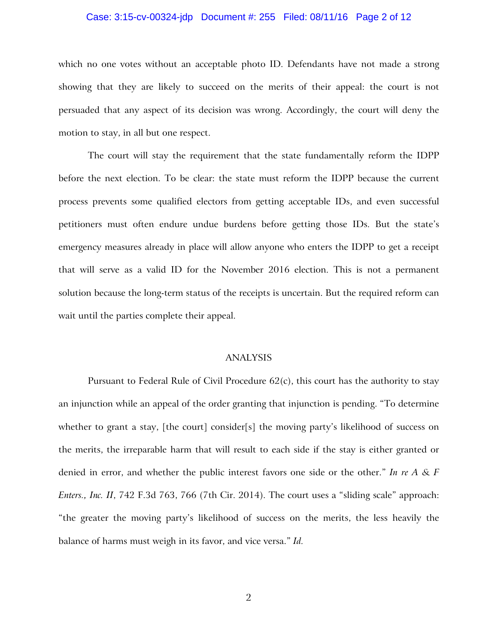### Case: 3:15-cv-00324-jdp Document #: 255 Filed: 08/11/16 Page 2 of 12

which no one votes without an acceptable photo ID. Defendants have not made a strong showing that they are likely to succeed on the merits of their appeal: the court is not persuaded that any aspect of its decision was wrong. Accordingly, the court will deny the motion to stay, in all but one respect.

The court will stay the requirement that the state fundamentally reform the IDPP before the next election. To be clear: the state must reform the IDPP because the current process prevents some qualified electors from getting acceptable IDs, and even successful petitioners must often endure undue burdens before getting those IDs. But the state's emergency measures already in place will allow anyone who enters the IDPP to get a receipt that will serve as a valid ID for the November 2016 election. This is not a permanent solution because the long-term status of the receipts is uncertain. But the required reform can wait until the parties complete their appeal.

# ANALYSIS

Pursuant to Federal Rule of Civil Procedure  $62(c)$ , this court has the authority to stay an injunction while an appeal of the order granting that injunction is pending. "To determine whether to grant a stay, [the court] consider[s] the moving party's likelihood of success on the merits, the irreparable harm that will result to each side if the stay is either granted or denied in error, and whether the public interest favors one side or the other." *In re A & F Enters., Inc. II*, 742 F.3d 763, 766 (7th Cir. 2014). The court uses a "sliding scale" approach: "the greater the moving party's likelihood of success on the merits, the less heavily the balance of harms must weigh in its favor, and vice versa." *Id.*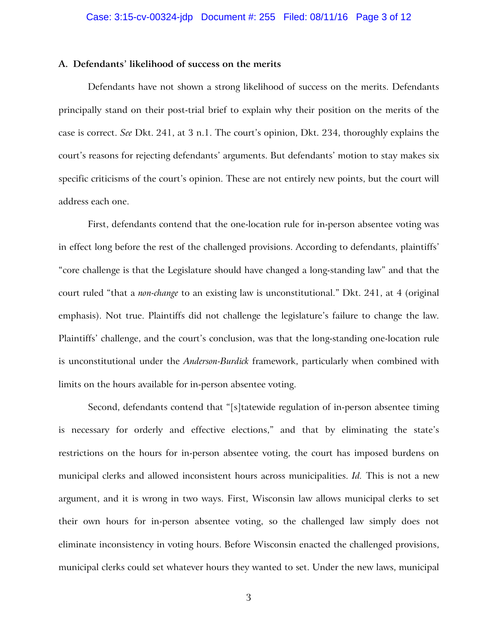#### **A. Defendants' likelihood of success on the merits**

Defendants have not shown a strong likelihood of success on the merits. Defendants principally stand on their post-trial brief to explain why their position on the merits of the case is correct. *See* Dkt. 241, at 3 n.1. The court's opinion, Dkt. 234, thoroughly explains the court's reasons for rejecting defendants' arguments. But defendants' motion to stay makes six specific criticisms of the court's opinion. These are not entirely new points, but the court will address each one.

First, defendants contend that the one-location rule for in-person absentee voting was in effect long before the rest of the challenged provisions. According to defendants, plaintiffs' "core challenge is that the Legislature should have changed a long-standing law" and that the court ruled "that a *non-change* to an existing law is unconstitutional." Dkt. 241, at 4 (original emphasis). Not true. Plaintiffs did not challenge the legislature's failure to change the law. Plaintiffs' challenge, and the court's conclusion, was that the long-standing one-location rule is unconstitutional under the *Anderson-Burdick* framework, particularly when combined with limits on the hours available for in-person absentee voting.

Second, defendants contend that "[s]tatewide regulation of in-person absentee timing is necessary for orderly and effective elections," and that by eliminating the state's restrictions on the hours for in-person absentee voting, the court has imposed burdens on municipal clerks and allowed inconsistent hours across municipalities. *Id.* This is not a new argument, and it is wrong in two ways. First, Wisconsin law allows municipal clerks to set their own hours for in-person absentee voting, so the challenged law simply does not eliminate inconsistency in voting hours. Before Wisconsin enacted the challenged provisions, municipal clerks could set whatever hours they wanted to set. Under the new laws, municipal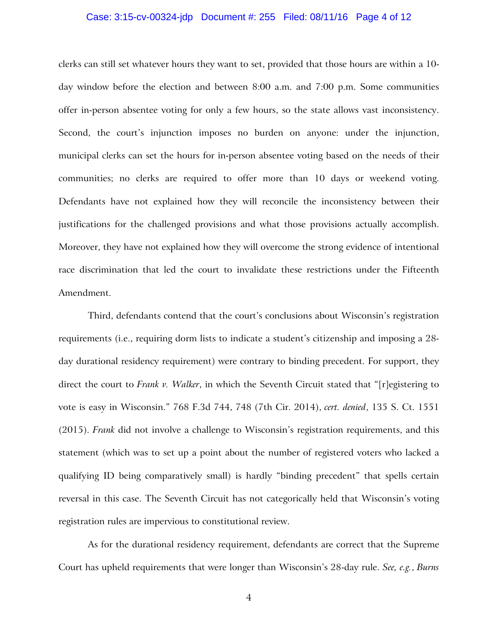### Case: 3:15-cv-00324-jdp Document #: 255 Filed: 08/11/16 Page 4 of 12

clerks can still set whatever hours they want to set, provided that those hours are within a 10 day window before the election and between 8:00 a.m. and 7:00 p.m. Some communities offer in-person absentee voting for only a few hours, so the state allows vast inconsistency. Second, the court's injunction imposes no burden on anyone: under the injunction, municipal clerks can set the hours for in-person absentee voting based on the needs of their communities; no clerks are required to offer more than 10 days or weekend voting. Defendants have not explained how they will reconcile the inconsistency between their justifications for the challenged provisions and what those provisions actually accomplish. Moreover, they have not explained how they will overcome the strong evidence of intentional race discrimination that led the court to invalidate these restrictions under the Fifteenth Amendment.

Third, defendants contend that the court's conclusions about Wisconsin's registration requirements (i.e., requiring dorm lists to indicate a student's citizenship and imposing a 28 day durational residency requirement) were contrary to binding precedent. For support, they direct the court to *Frank v. Walker*, in which the Seventh Circuit stated that "[r]egistering to vote is easy in Wisconsin." 768 F.3d 744, 748 (7th Cir. 2014), *cert. denied*, 135 S. Ct. 1551 (2015). *Frank* did not involve a challenge to Wisconsin's registration requirements, and this statement (which was to set up a point about the number of registered voters who lacked a qualifying ID being comparatively small) is hardly "binding precedent" that spells certain reversal in this case. The Seventh Circuit has not categorically held that Wisconsin's voting registration rules are impervious to constitutional review.

As for the durational residency requirement, defendants are correct that the Supreme Court has upheld requirements that were longer than Wisconsin's 28-day rule. *See, e.g.*, *Burns*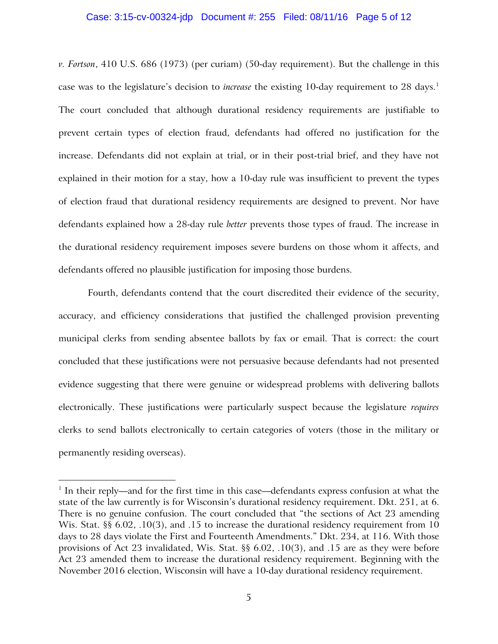### Case: 3:15-cv-00324-jdp Document #: 255 Filed: 08/11/16 Page 5 of 12

*v. Fortson*, 410 U.S. 686 (1973) (per curiam) (50-day requirement). But the challenge in this case was to the legislature's decision to *increase* the existing 10-day requirement to 28 days. 1 The court concluded that although durational residency requirements are justifiable to prevent certain types of election fraud, defendants had offered no justification for the increase. Defendants did not explain at trial, or in their post-trial brief, and they have not explained in their motion for a stay, how a 10-day rule was insufficient to prevent the types of election fraud that durational residency requirements are designed to prevent. Nor have defendants explained how a 28-day rule *better* prevents those types of fraud. The increase in the durational residency requirement imposes severe burdens on those whom it affects, and defendants offered no plausible justification for imposing those burdens.

Fourth, defendants contend that the court discredited their evidence of the security, accuracy, and efficiency considerations that justified the challenged provision preventing municipal clerks from sending absentee ballots by fax or email. That is correct: the court concluded that these justifications were not persuasive because defendants had not presented evidence suggesting that there were genuine or widespread problems with delivering ballots electronically. These justifications were particularly suspect because the legislature *requires* clerks to send ballots electronically to certain categories of voters (those in the military or permanently residing overseas).

 $\overline{a}$ 

<sup>&</sup>lt;sup>1</sup> In their reply—and for the first time in this case—defendants express confusion at what the state of the law currently is for Wisconsin's durational residency requirement. Dkt. 251, at 6. There is no genuine confusion. The court concluded that "the sections of Act 23 amending Wis. Stat. §§ 6.02, .10(3), and .15 to increase the durational residency requirement from 10 days to 28 days violate the First and Fourteenth Amendments." Dkt. 234, at 116. With those provisions of Act 23 invalidated, Wis. Stat. §§ 6.02, .10(3), and .15 are as they were before Act 23 amended them to increase the durational residency requirement. Beginning with the November 2016 election, Wisconsin will have a 10-day durational residency requirement.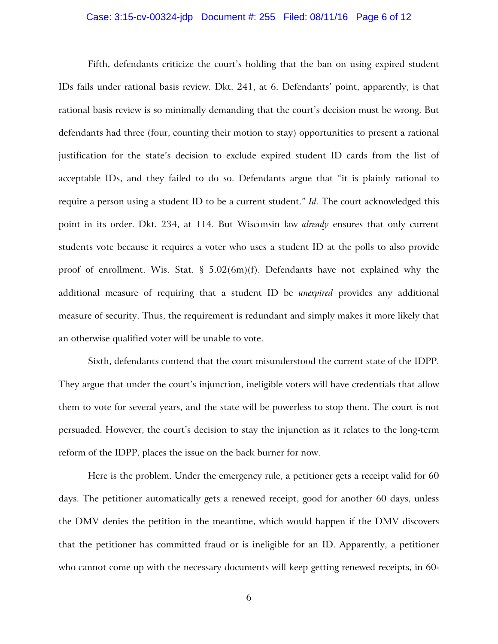### Case: 3:15-cv-00324-jdp Document #: 255 Filed: 08/11/16 Page 6 of 12

Fifth, defendants criticize the court's holding that the ban on using expired student IDs fails under rational basis review. Dkt. 241, at 6. Defendants' point, apparently, is that rational basis review is so minimally demanding that the court's decision must be wrong. But defendants had three (four, counting their motion to stay) opportunities to present a rational justification for the state's decision to exclude expired student ID cards from the list of acceptable IDs, and they failed to do so. Defendants argue that "it is plainly rational to require a person using a student ID to be a current student." *Id.* The court acknowledged this point in its order. Dkt. 234, at 114. But Wisconsin law *already* ensures that only current students vote because it requires a voter who uses a student ID at the polls to also provide proof of enrollment. Wis. Stat.  $\S$  5.02(6m)(f). Defendants have not explained why the additional measure of requiring that a student ID be *unexpired* provides any additional measure of security. Thus, the requirement is redundant and simply makes it more likely that an otherwise qualified voter will be unable to vote.

Sixth, defendants contend that the court misunderstood the current state of the IDPP. They argue that under the court's injunction, ineligible voters will have credentials that allow them to vote for several years, and the state will be powerless to stop them. The court is not persuaded. However, the court's decision to stay the injunction as it relates to the long-term reform of the IDPP, places the issue on the back burner for now.

Here is the problem. Under the emergency rule, a petitioner gets a receipt valid for 60 days. The petitioner automatically gets a renewed receipt, good for another 60 days, unless the DMV denies the petition in the meantime, which would happen if the DMV discovers that the petitioner has committed fraud or is ineligible for an ID. Apparently, a petitioner who cannot come up with the necessary documents will keep getting renewed receipts, in 60-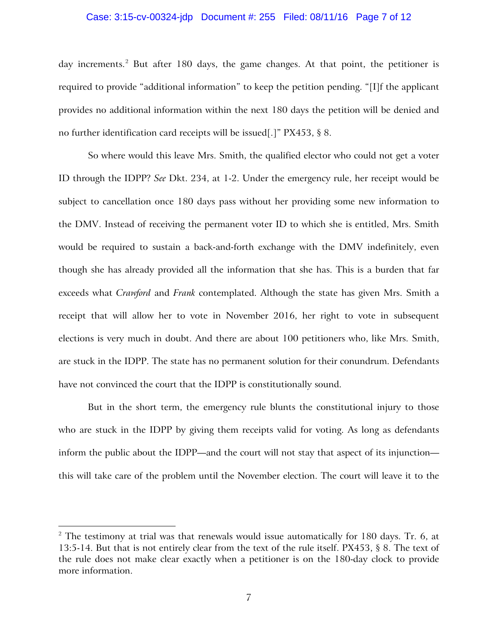### Case: 3:15-cv-00324-jdp Document #: 255 Filed: 08/11/16 Page 7 of 12

day increments.<sup>2</sup> But after 180 days, the game changes. At that point, the petitioner is required to provide "additional information" to keep the petition pending. "[I]f the applicant provides no additional information within the next 180 days the petition will be denied and no further identification card receipts will be issued[.]" PX453, § 8.

So where would this leave Mrs. Smith, the qualified elector who could not get a voter ID through the IDPP? *See* Dkt. 234, at 1-2. Under the emergency rule, her receipt would be subject to cancellation once 180 days pass without her providing some new information to the DMV. Instead of receiving the permanent voter ID to which she is entitled, Mrs. Smith would be required to sustain a back-and-forth exchange with the DMV indefinitely, even though she has already provided all the information that she has. This is a burden that far exceeds what *Crawford* and *Frank* contemplated. Although the state has given Mrs. Smith a receipt that will allow her to vote in November 2016, her right to vote in subsequent elections is very much in doubt. And there are about 100 petitioners who, like Mrs. Smith, are stuck in the IDPP. The state has no permanent solution for their conundrum. Defendants have not convinced the court that the IDPP is constitutionally sound.

But in the short term, the emergency rule blunts the constitutional injury to those who are stuck in the IDPP by giving them receipts valid for voting. As long as defendants inform the public about the IDPP—and the court will not stay that aspect of its injunction this will take care of the problem until the November election. The court will leave it to the

 $\overline{a}$ 

 $2$  The testimony at trial was that renewals would issue automatically for 180 days. Tr. 6, at 13:5-14. But that is not entirely clear from the text of the rule itself. PX453, § 8. The text of the rule does not make clear exactly when a petitioner is on the 180-day clock to provide more information.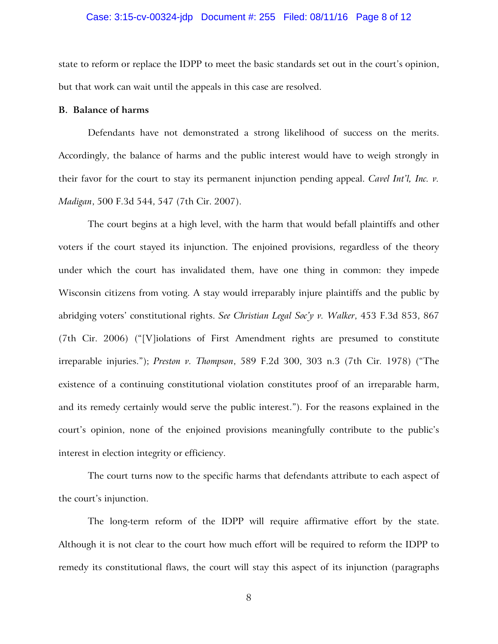### Case: 3:15-cv-00324-jdp Document #: 255 Filed: 08/11/16 Page 8 of 12

state to reform or replace the IDPP to meet the basic standards set out in the court's opinion, but that work can wait until the appeals in this case are resolved.

## **B. Balance of harms**

Defendants have not demonstrated a strong likelihood of success on the merits. Accordingly, the balance of harms and the public interest would have to weigh strongly in their favor for the court to stay its permanent injunction pending appeal. *Cavel Int'l, Inc. v. Madigan*, 500 F.3d 544, 547 (7th Cir. 2007).

The court begins at a high level, with the harm that would befall plaintiffs and other voters if the court stayed its injunction. The enjoined provisions, regardless of the theory under which the court has invalidated them, have one thing in common: they impede Wisconsin citizens from voting. A stay would irreparably injure plaintiffs and the public by abridging voters' constitutional rights. *See Christian Legal Soc'y v. Walker*, 453 F.3d 853, 867 (7th Cir. 2006) ("[V]iolations of First Amendment rights are presumed to constitute irreparable injuries."); *Preston v. Thompson*, 589 F.2d 300, 303 n.3 (7th Cir. 1978) ("The existence of a continuing constitutional violation constitutes proof of an irreparable harm, and its remedy certainly would serve the public interest."). For the reasons explained in the court's opinion, none of the enjoined provisions meaningfully contribute to the public's interest in election integrity or efficiency.

The court turns now to the specific harms that defendants attribute to each aspect of the court's injunction.

The long-term reform of the IDPP will require affirmative effort by the state. Although it is not clear to the court how much effort will be required to reform the IDPP to remedy its constitutional flaws, the court will stay this aspect of its injunction (paragraphs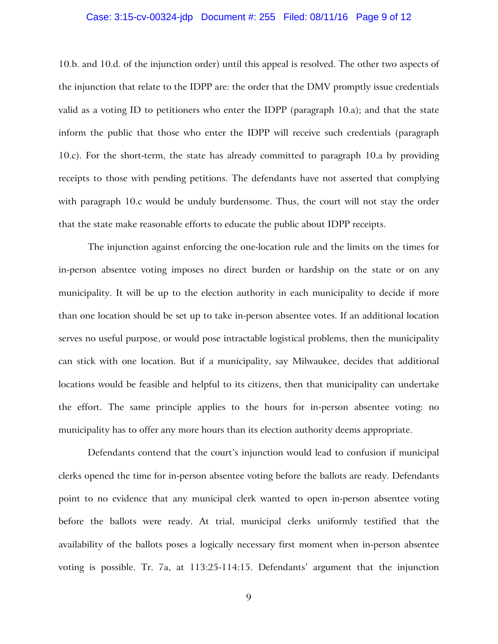### Case: 3:15-cv-00324-jdp Document #: 255 Filed: 08/11/16 Page 9 of 12

10.b. and 10.d. of the injunction order) until this appeal is resolved. The other two aspects of the injunction that relate to the IDPP are: the order that the DMV promptly issue credentials valid as a voting ID to petitioners who enter the IDPP (paragraph 10.a); and that the state inform the public that those who enter the IDPP will receive such credentials (paragraph 10.c). For the short-term, the state has already committed to paragraph 10.a by providing receipts to those with pending petitions. The defendants have not asserted that complying with paragraph 10.c would be unduly burdensome. Thus, the court will not stay the order that the state make reasonable efforts to educate the public about IDPP receipts.

The injunction against enforcing the one-location rule and the limits on the times for in-person absentee voting imposes no direct burden or hardship on the state or on any municipality. It will be up to the election authority in each municipality to decide if more than one location should be set up to take in-person absentee votes. If an additional location serves no useful purpose, or would pose intractable logistical problems, then the municipality can stick with one location. But if a municipality, say Milwaukee, decides that additional locations would be feasible and helpful to its citizens, then that municipality can undertake the effort. The same principle applies to the hours for in-person absentee voting: no municipality has to offer any more hours than its election authority deems appropriate.

Defendants contend that the court's injunction would lead to confusion if municipal clerks opened the time for in-person absentee voting before the ballots are ready. Defendants point to no evidence that any municipal clerk wanted to open in-person absentee voting before the ballots were ready. At trial, municipal clerks uniformly testified that the availability of the ballots poses a logically necessary first moment when in-person absentee voting is possible. Tr. 7a, at 113:25-114:15. Defendants' argument that the injunction

9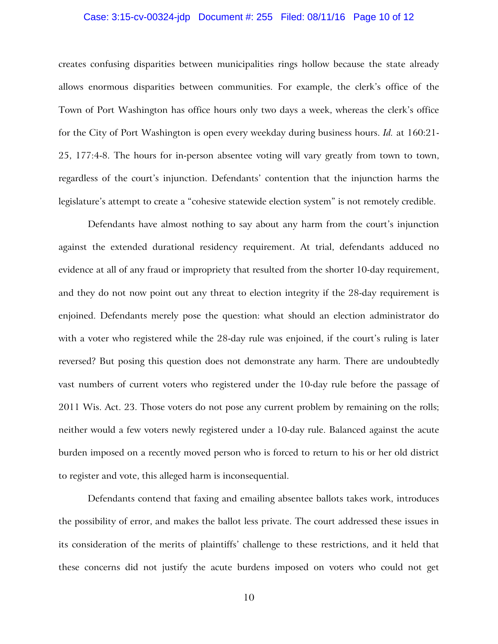### Case: 3:15-cv-00324-jdp Document #: 255 Filed: 08/11/16 Page 10 of 12

creates confusing disparities between municipalities rings hollow because the state already allows enormous disparities between communities. For example, the clerk's office of the Town of Port Washington has office hours only two days a week, whereas the clerk's office for the City of Port Washington is open every weekday during business hours. *Id.* at 160:21- 25, 177:4-8. The hours for in-person absentee voting will vary greatly from town to town, regardless of the court's injunction. Defendants' contention that the injunction harms the legislature's attempt to create a "cohesive statewide election system" is not remotely credible.

Defendants have almost nothing to say about any harm from the court's injunction against the extended durational residency requirement. At trial, defendants adduced no evidence at all of any fraud or impropriety that resulted from the shorter 10-day requirement, and they do not now point out any threat to election integrity if the 28-day requirement is enjoined. Defendants merely pose the question: what should an election administrator do with a voter who registered while the 28-day rule was enjoined, if the court's ruling is later reversed? But posing this question does not demonstrate any harm. There are undoubtedly vast numbers of current voters who registered under the 10-day rule before the passage of 2011 Wis. Act. 23. Those voters do not pose any current problem by remaining on the rolls; neither would a few voters newly registered under a 10-day rule. Balanced against the acute burden imposed on a recently moved person who is forced to return to his or her old district to register and vote, this alleged harm is inconsequential.

Defendants contend that faxing and emailing absentee ballots takes work, introduces the possibility of error, and makes the ballot less private. The court addressed these issues in its consideration of the merits of plaintiffs' challenge to these restrictions, and it held that these concerns did not justify the acute burdens imposed on voters who could not get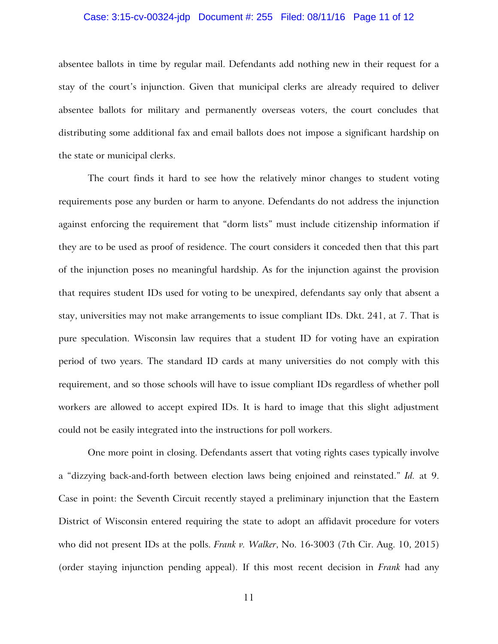### Case: 3:15-cv-00324-jdp Document #: 255 Filed: 08/11/16 Page 11 of 12

absentee ballots in time by regular mail. Defendants add nothing new in their request for a stay of the court's injunction. Given that municipal clerks are already required to deliver absentee ballots for military and permanently overseas voters, the court concludes that distributing some additional fax and email ballots does not impose a significant hardship on the state or municipal clerks.

The court finds it hard to see how the relatively minor changes to student voting requirements pose any burden or harm to anyone. Defendants do not address the injunction against enforcing the requirement that "dorm lists" must include citizenship information if they are to be used as proof of residence. The court considers it conceded then that this part of the injunction poses no meaningful hardship. As for the injunction against the provision that requires student IDs used for voting to be unexpired, defendants say only that absent a stay, universities may not make arrangements to issue compliant IDs. Dkt. 241, at 7. That is pure speculation. Wisconsin law requires that a student ID for voting have an expiration period of two years. The standard ID cards at many universities do not comply with this requirement, and so those schools will have to issue compliant IDs regardless of whether poll workers are allowed to accept expired IDs. It is hard to image that this slight adjustment could not be easily integrated into the instructions for poll workers.

One more point in closing. Defendants assert that voting rights cases typically involve a "dizzying back-and-forth between election laws being enjoined and reinstated." *Id.* at 9. Case in point: the Seventh Circuit recently stayed a preliminary injunction that the Eastern District of Wisconsin entered requiring the state to adopt an affidavit procedure for voters who did not present IDs at the polls. *Frank v. Walker*, No. 16-3003 (7th Cir. Aug. 10, 2015) (order staying injunction pending appeal). If this most recent decision in *Frank* had any